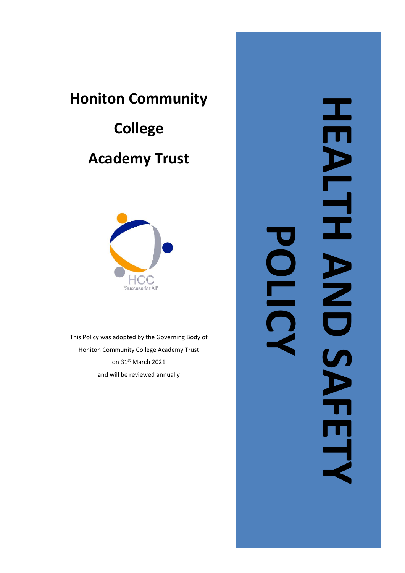# **Honiton Community**

# **College Academy Trust**



This Policy was adopted by the Governing Body of Honiton Community College Academy Trust on 31st March 2021 and will be reviewed annually

HEALTH AND SAFETY HEALTH ARD SAFE **POLICY**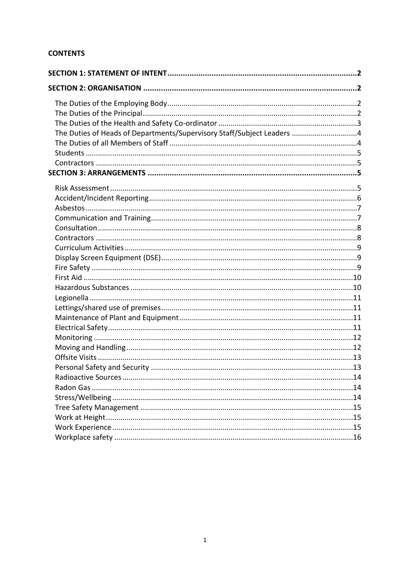# **CONTENTS**

| The Duties of Heads of Departments/Supervisory Staff/Subject Leaders 4 |  |
|------------------------------------------------------------------------|--|
|                                                                        |  |
|                                                                        |  |
|                                                                        |  |
|                                                                        |  |
|                                                                        |  |
|                                                                        |  |
|                                                                        |  |
|                                                                        |  |
|                                                                        |  |
|                                                                        |  |
|                                                                        |  |
|                                                                        |  |
|                                                                        |  |
|                                                                        |  |
|                                                                        |  |
|                                                                        |  |
|                                                                        |  |
|                                                                        |  |
|                                                                        |  |
|                                                                        |  |
|                                                                        |  |
|                                                                        |  |
|                                                                        |  |
|                                                                        |  |
|                                                                        |  |
|                                                                        |  |
|                                                                        |  |
|                                                                        |  |
|                                                                        |  |
|                                                                        |  |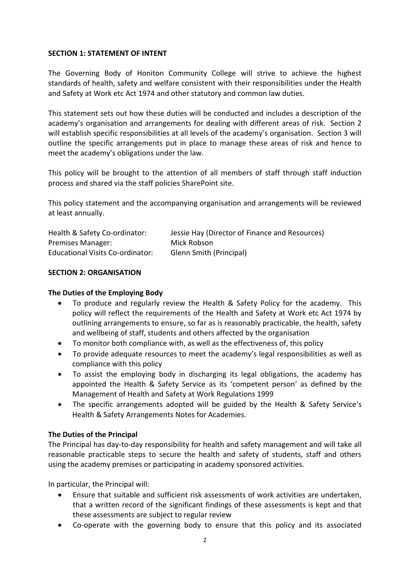#### <span id="page-2-0"></span>**SECTION 1: STATEMENT OF INTENT**

The Governing Body of Honiton Community College will strive to achieve the highest standards of health, safety and welfare consistent with their responsibilities under the Health and Safety at Work etc Act 1974 and other statutory and common law duties.

This statement sets out how these duties will be conducted and includes a description of the academy's organisation and arrangements for dealing with different areas of risk. Section 2 will establish specific responsibilities at all levels of the academy's organisation. Section 3 will outline the specific arrangements put in place to manage these areas of risk and hence to meet the academy's obligations under the law.

This policy will be brought to the attention of all members of staff through staff induction process and shared via the staff policies SharePoint site.

This policy statement and the accompanying organisation and arrangements will be reviewed at least annually.

| Health & Safety Co-ordinator:    | Jessie Hay (Director of Finance and Resources) |
|----------------------------------|------------------------------------------------|
| Premises Manager:                | Mick Robson                                    |
| Educational Visits Co-ordinator: | Glenn Smith (Principal)                        |

#### <span id="page-2-1"></span>**SECTION 2: ORGANISATION**

#### <span id="page-2-2"></span>**The Duties of the Employing Body**

- To produce and regularly review the Health & Safety Policy for the academy. This policy will reflect the requirements of the Health and Safety at Work etc Act 1974 by outlining arrangements to ensure, so far as is reasonably practicable, the health, safety and wellbeing of staff, students and others affected by the organisation
- To monitor both compliance with, as well as the effectiveness of, this policy
- To provide adequate resources to meet the academy's legal responsibilities as well as compliance with this policy
- To assist the employing body in discharging its legal obligations, the academy has appointed the Health & Safety Service as its 'competent person' as defined by the Management of Health and Safety at Work Regulations 1999
- The specific arrangements adopted will be guided by the Health & Safety Service's Health & Safety Arrangements Notes for Academies.

# <span id="page-2-3"></span>**The Duties of the Principal**

The Principal has day-to-day responsibility for health and safety management and will take all reasonable practicable steps to secure the health and safety of students, staff and others using the academy premises or participating in academy sponsored activities.

In particular, the Principal will:

- Ensure that suitable and sufficient risk assessments of work activities are undertaken, that a written record of the significant findings of these assessments is kept and that these assessments are subject to regular review
- Co-operate with the governing body to ensure that this policy and its associated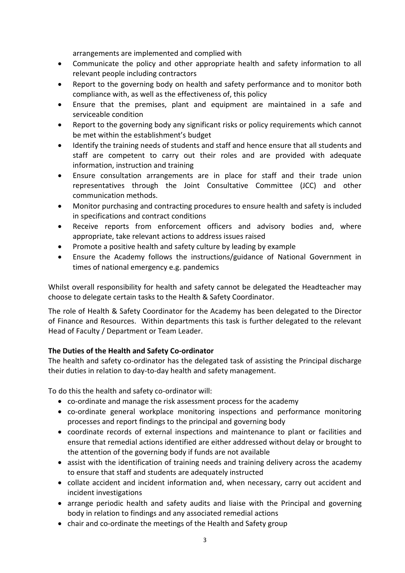arrangements are implemented and complied with

- Communicate the policy and other appropriate health and safety information to all relevant people including contractors
- Report to the governing body on health and safety performance and to monitor both compliance with, as well as the effectiveness of, this policy
- Ensure that the premises, plant and equipment are maintained in a safe and serviceable condition
- Report to the governing body any significant risks or policy requirements which cannot be met within the establishment's budget
- Identify the training needs of students and staff and hence ensure that all students and staff are competent to carry out their roles and are provided with adequate information, instruction and training
- Ensure consultation arrangements are in place for staff and their trade union representatives through the Joint Consultative Committee (JCC) and other communication methods.
- Monitor purchasing and contracting procedures to ensure health and safety is included in specifications and contract conditions
- Receive reports from enforcement officers and advisory bodies and, where appropriate, take relevant actions to address issues raised
- Promote a positive health and safety culture by leading by example
- Ensure the Academy follows the instructions/guidance of National Government in times of national emergency e.g. pandemics

Whilst overall responsibility for health and safety cannot be delegated the Headteacher may choose to delegate certain tasks to the Health & Safety Coordinator.

The role of Health & Safety Coordinator for the Academy has been delegated to the Director of Finance and Resources. Within departments this task is further delegated to the relevant Head of Faculty / Department or Team Leader.

# <span id="page-3-0"></span>**The Duties of the Health and Safety Co-ordinator**

The health and safety co-ordinator has the delegated task of assisting the Principal discharge their duties in relation to day-to-day health and safety management.

To do this the health and safety co-ordinator will:

- co-ordinate and manage the risk assessment process for the academy
- co-ordinate general workplace monitoring inspections and performance monitoring processes and report findings to the principal and governing body
- coordinate records of external inspections and maintenance to plant or facilities and ensure that remedial actions identified are either addressed without delay or brought to the attention of the governing body if funds are not available
- assist with the identification of training needs and training delivery across the academy to ensure that staff and students are adequately instructed
- collate accident and incident information and, when necessary, carry out accident and incident investigations
- arrange periodic health and safety audits and liaise with the Principal and governing body in relation to findings and any associated remedial actions
- chair and co-ordinate the meetings of the Health and Safety group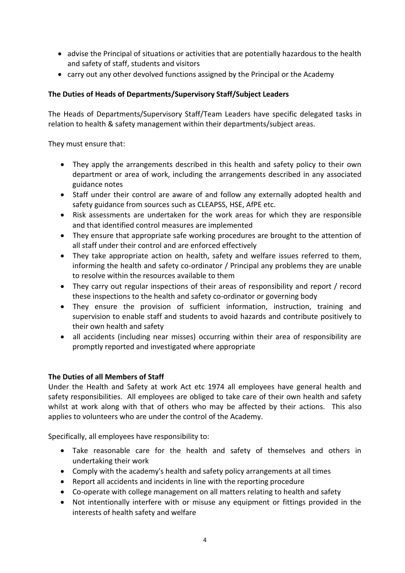- advise the Principal of situations or activities that are potentially hazardous to the health and safety of staff, students and visitors
- carry out any other devolved functions assigned by the Principal or the Academy

# <span id="page-4-0"></span>**The Duties of Heads of Departments/Supervisory Staff/Subject Leaders**

The Heads of Departments/Supervisory Staff/Team Leaders have specific delegated tasks in relation to health & safety management within their departments/subject areas.

They must ensure that:

- They apply the arrangements described in this health and safety policy to their own department or area of work, including the arrangements described in any associated guidance notes
- Staff under their control are aware of and follow any externally adopted health and safety guidance from sources such as CLEAPSS, HSE, AfPE etc.
- Risk assessments are undertaken for the work areas for which they are responsible and that identified control measures are implemented
- They ensure that appropriate safe working procedures are brought to the attention of all staff under their control and are enforced effectively
- They take appropriate action on health, safety and welfare issues referred to them, informing the health and safety co-ordinator / Principal any problems they are unable to resolve within the resources available to them
- They carry out regular inspections of their areas of responsibility and report / record these inspections to the health and safety co-ordinator or governing body
- They ensure the provision of sufficient information, instruction, training and supervision to enable staff and students to avoid hazards and contribute positively to their own health and safety
- all accidents (including near misses) occurring within their area of responsibility are promptly reported and investigated where appropriate

# <span id="page-4-1"></span>**The Duties of all Members of Staff**

Under the Health and Safety at work Act etc 1974 all employees have general health and safety responsibilities. All employees are obliged to take care of their own health and safety whilst at work along with that of others who may be affected by their actions. This also applies to volunteers who are under the control of the Academy.

Specifically, all employees have responsibility to:

- Take reasonable care for the health and safety of themselves and others in undertaking their work
- Comply with the academy's health and safety policy arrangements at all times
- Report all accidents and incidents in line with the reporting procedure
- Co-operate with college management on all matters relating to health and safety
- Not intentionally interfere with or misuse any equipment or fittings provided in the interests of health safety and welfare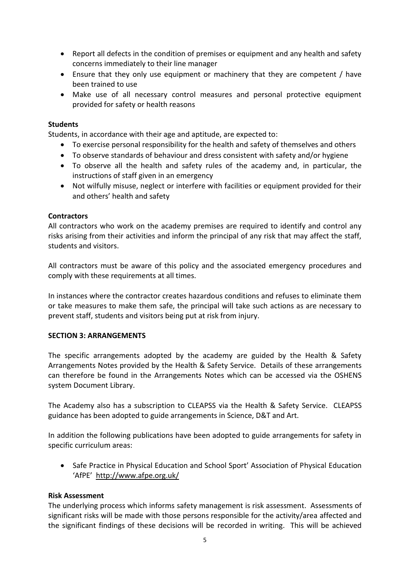- Report all defects in the condition of premises or equipment and any health and safety concerns immediately to their line manager
- Ensure that they only use equipment or machinery that they are competent / have been trained to use
- Make use of all necessary control measures and personal protective equipment provided for safety or health reasons

### <span id="page-5-0"></span>**Students**

Students, in accordance with their age and aptitude, are expected to:

- To exercise personal responsibility for the health and safety of themselves and others
- To observe standards of behaviour and dress consistent with safety and/or hygiene
- To observe all the health and safety rules of the academy and, in particular, the instructions of staff given in an emergency
- Not wilfully misuse, neglect or interfere with facilities or equipment provided for their and others' health and safety

#### <span id="page-5-1"></span>**Contractors**

All contractors who work on the academy premises are required to identify and control any risks arising from their activities and inform the principal of any risk that may affect the staff, students and visitors.

All contractors must be aware of this policy and the associated emergency procedures and comply with these requirements at all times.

In instances where the contractor creates hazardous conditions and refuses to eliminate them or take measures to make them safe, the principal will take such actions as are necessary to prevent staff, students and visitors being put at risk from injury.

#### <span id="page-5-2"></span>**SECTION 3: ARRANGEMENTS**

The specific arrangements adopted by the academy are guided by the Health & Safety Arrangements Notes provided by the Health & Safety Service. Details of these arrangements can therefore be found in the Arrangements Notes which can be accessed via the OSHENS system Document Library.

The Academy also has a subscription to CLEAPSS via the Health & Safety Service. CLEAPSS guidance has been adopted to guide arrangements in Science, D&T and Art.

In addition the following publications have been adopted to guide arrangements for safety in specific curriculum areas:

• Safe Practice in Physical Education and School Sport' Association of Physical Education 'AfPE' <http://www.afpe.org.uk/>

#### <span id="page-5-3"></span>**Risk Assessment**

The underlying process which informs safety management is risk assessment. Assessments of significant risks will be made with those persons responsible for the activity/area affected and the significant findings of these decisions will be recorded in writing. This will be achieved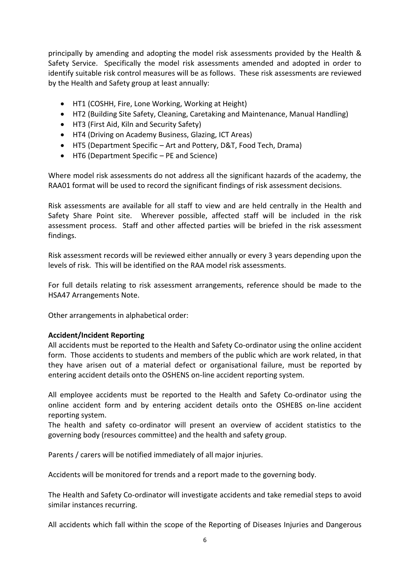principally by amending and adopting the model risk assessments provided by the Health & Safety Service. Specifically the model risk assessments amended and adopted in order to identify suitable risk control measures will be as follows. These risk assessments are reviewed by the Health and Safety group at least annually:

- HT1 (COSHH, Fire, Lone Working, Working at Height)
- HT2 (Building Site Safety, Cleaning, Caretaking and Maintenance, Manual Handling)
- HT3 (First Aid, Kiln and Security Safety)
- HT4 (Driving on Academy Business, Glazing, ICT Areas)
- HT5 (Department Specific Art and Pottery, D&T, Food Tech, Drama)
- HT6 (Department Specific PE and Science)

Where model risk assessments do not address all the significant hazards of the academy, the RAA01 format will be used to record the significant findings of risk assessment decisions.

Risk assessments are available for all staff to view and are held centrally in the Health and Safety Share Point site. Wherever possible, affected staff will be included in the risk assessment process. Staff and other affected parties will be briefed in the risk assessment findings.

Risk assessment records will be reviewed either annually or every 3 years depending upon the levels of risk. This will be identified on the RAA model risk assessments.

For full details relating to risk assessment arrangements, reference should be made to the HSA47 Arrangements Note.

Other arrangements in alphabetical order:

#### <span id="page-6-0"></span>**Accident/Incident Reporting**

All accidents must be reported to the Health and Safety Co-ordinator using the online accident form. Those accidents to students and members of the public which are work related, in that they have arisen out of a material defect or organisational failure, must be reported by entering accident details onto the OSHENS on-line accident reporting system.

All employee accidents must be reported to the Health and Safety Co-ordinator using the online accident form and by entering accident details onto the OSHEBS on-line accident reporting system.

The health and safety co-ordinator will present an overview of accident statistics to the governing body (resources committee) and the health and safety group.

Parents / carers will be notified immediately of all major injuries.

Accidents will be monitored for trends and a report made to the governing body.

The Health and Safety Co-ordinator will investigate accidents and take remedial steps to avoid similar instances recurring.

All accidents which fall within the scope of the Reporting of Diseases Injuries and Dangerous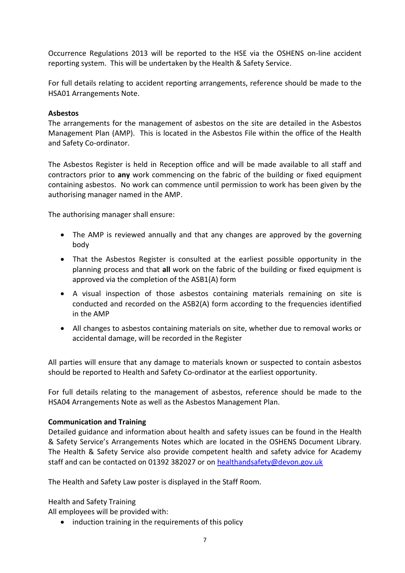Occurrence Regulations 2013 will be reported to the HSE via the OSHENS on-line accident reporting system. This will be undertaken by the Health & Safety Service.

For full details relating to accident reporting arrangements, reference should be made to the HSA01 Arrangements Note.

#### <span id="page-7-0"></span>**Asbestos**

The arrangements for the management of asbestos on the site are detailed in the Asbestos Management Plan (AMP). This is located in the Asbestos File within the office of the Health and Safety Co-ordinator.

The Asbestos Register is held in Reception office and will be made available to all staff and contractors prior to **any** work commencing on the fabric of the building or fixed equipment containing asbestos. No work can commence until permission to work has been given by the authorising manager named in the AMP.

The authorising manager shall ensure:

- The AMP is reviewed annually and that any changes are approved by the governing body
- That the Asbestos Register is consulted at the earliest possible opportunity in the planning process and that **all** work on the fabric of the building or fixed equipment is approved via the completion of the ASB1(A) form
- A visual inspection of those asbestos containing materials remaining on site is conducted and recorded on the ASB2(A) form according to the frequencies identified in the AMP
- All changes to asbestos containing materials on site, whether due to removal works or accidental damage, will be recorded in the Register

All parties will ensure that any damage to materials known or suspected to contain asbestos should be reported to Health and Safety Co-ordinator at the earliest opportunity.

For full details relating to the management of asbestos, reference should be made to the HSA04 Arrangements Note as well as the Asbestos Management Plan.

#### <span id="page-7-1"></span>**Communication and Training**

Detailed guidance and information about health and safety issues can be found in the Health & Safety Service's Arrangements Notes which are located in the OSHENS Document Library. The Health & Safety Service also provide competent health and safety advice for Academy staff and can be contacted on 01392 382027 or on [healthandsafety@devon.gov.uk](mailto:healthandsafety@devon.gov.uk)

The Health and Safety Law poster is displayed in the Staff Room.

Health and Safety Training

All employees will be provided with:

• induction training in the requirements of this policy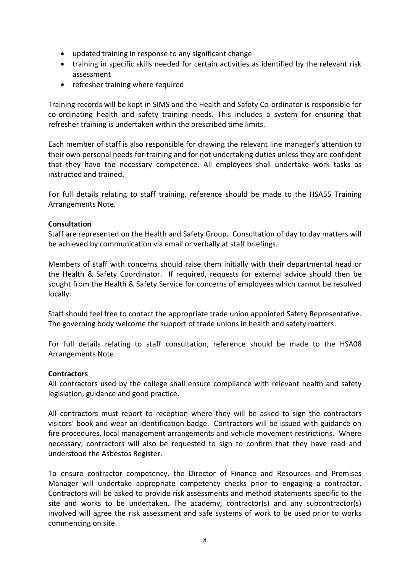- updated training in response to any significant change
- training in specific skills needed for certain activities as identified by the relevant risk assessment
- refresher training where required

Training records will be kept in SIMS and the Health and Safety Co-ordinator is responsible for co-ordinating health and safety training needs. This includes a system for ensuring that refresher training is undertaken within the prescribed time limits.

Each member of staff is also responsible for drawing the relevant line manager's attention to their own personal needs for training and for not undertaking duties unless they are confident that they have the necessary competence. All employees shall undertake work tasks as instructed and trained.

For full details relating to staff training, reference should be made to the HSA55 Training Arrangements Note.

#### <span id="page-8-0"></span>**Consultation**

Staff are represented on the Health and Safety Group. Consultation of day to day matters will be achieved by communication via email or verbally at staff briefings.

Members of staff with concerns should raise them initially with their departmental head or the Health & Safety Coordinator. If required, requests for external advice should then be sought from the Health & Safety Service for concerns of employees which cannot be resolved locally.

Staff should feel free to contact the appropriate trade union appointed Safety Representative. The governing body welcome the support of trade unions in health and safety matters.

For full details relating to staff consultation, reference should be made to the HSA08 Arrangements Note.

#### <span id="page-8-1"></span>**Contractors**

All contractors used by the college shall ensure compliance with relevant health and safety legislation, guidance and good practice.

All contractors must report to reception where they will be asked to sign the contractors visitors' book and wear an identification badge. Contractors will be issued with guidance on fire procedures, local management arrangements and vehicle movement restrictions. Where necessary, contractors will also be requested to sign to confirm that they have read and understood the Asbestos Register.

To ensure contractor competency, the Director of Finance and Resources and Premises Manager will undertake appropriate competency checks prior to engaging a contractor. Contractors will be asked to provide risk assessments and method statements specific to the site and works to be undertaken. The academy, contractor(s) and any subcontractor(s) involved will agree the risk assessment and safe systems of work to be used prior to works commencing on site.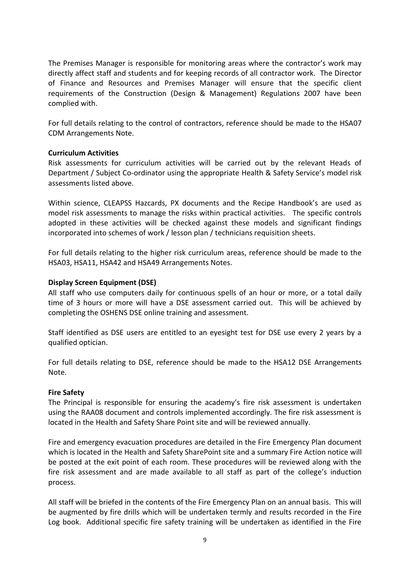The Premises Manager is responsible for monitoring areas where the contractor's work may directly affect staff and students and for keeping records of all contractor work. The Director of Finance and Resources and Premises Manager will ensure that the specific client requirements of the Construction (Design & Management) Regulations 2007 have been complied with.

For full details relating to the control of contractors, reference should be made to the HSA07 CDM Arrangements Note.

#### <span id="page-9-0"></span>**Curriculum Activities**

Risk assessments for curriculum activities will be carried out by the relevant Heads of Department / Subject Co-ordinator using the appropriate Health & Safety Service's model risk assessments listed above.

Within science, CLEAPSS Hazcards, PX documents and the Recipe Handbook's are used as model risk assessments to manage the risks within practical activities. The specific controls adopted in these activities will be checked against these models and significant findings incorporated into schemes of work / lesson plan / technicians requisition sheets.

For full details relating to the higher risk curriculum areas, reference should be made to the HSA03, HSA11, HSA42 and HSA49 Arrangements Notes.

#### <span id="page-9-1"></span>**Display Screen Equipment (DSE)**

All staff who use computers daily for continuous spells of an hour or more, or a total daily time of 3 hours or more will have a DSE assessment carried out. This will be achieved by completing the OSHENS DSE online training and assessment.

Staff identified as DSE users are entitled to an eyesight test for DSE use every 2 years by a qualified optician.

For full details relating to DSE, reference should be made to the HSA12 DSE Arrangements Note.

#### <span id="page-9-2"></span>**Fire Safety**

The Principal is responsible for ensuring the academy's fire risk assessment is undertaken using the RAA08 document and controls implemented accordingly. The fire risk assessment is located in the Health and Safety Share Point site and will be reviewed annually.

Fire and emergency evacuation procedures are detailed in the Fire Emergency Plan document which is located in the Health and Safety SharePoint site and a summary Fire Action notice will be posted at the exit point of each room. These procedures will be reviewed along with the fire risk assessment and are made available to all staff as part of the college's induction process.

All staff will be briefed in the contents of the Fire Emergency Plan on an annual basis. This will be augmented by fire drills which will be undertaken termly and results recorded in the Fire Log book. Additional specific fire safety training will be undertaken as identified in the Fire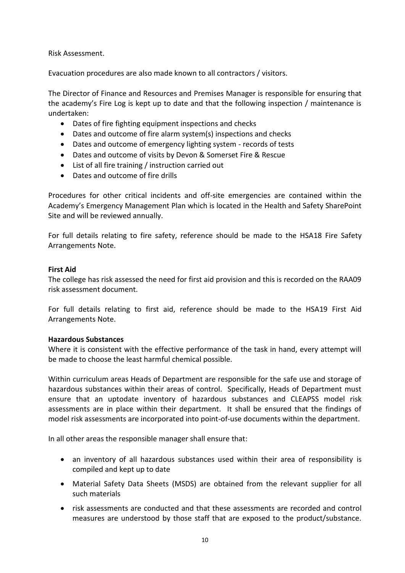Risk Assessment.

Evacuation procedures are also made known to all contractors / visitors.

The Director of Finance and Resources and Premises Manager is responsible for ensuring that the academy's Fire Log is kept up to date and that the following inspection / maintenance is undertaken:

- Dates of fire fighting equipment inspections and checks
- Dates and outcome of fire alarm system(s) inspections and checks
- Dates and outcome of emergency lighting system records of tests
- Dates and outcome of visits by Devon & Somerset Fire & Rescue
- List of all fire training / instruction carried out
- Dates and outcome of fire drills

Procedures for other critical incidents and off-site emergencies are contained within the Academy's Emergency Management Plan which is located in the Health and Safety SharePoint Site and will be reviewed annually.

For full details relating to fire safety, reference should be made to the HSA18 Fire Safety Arrangements Note.

#### <span id="page-10-0"></span>**First Aid**

The college has risk assessed the need for first aid provision and this is recorded on the RAA09 risk assessment document.

For full details relating to first aid, reference should be made to the HSA19 First Aid Arrangements Note.

#### <span id="page-10-1"></span>**Hazardous Substances**

Where it is consistent with the effective performance of the task in hand, every attempt will be made to choose the least harmful chemical possible.

Within curriculum areas Heads of Department are responsible for the safe use and storage of hazardous substances within their areas of control. Specifically, Heads of Department must ensure that an uptodate inventory of hazardous substances and CLEAPSS model risk assessments are in place within their department. It shall be ensured that the findings of model risk assessments are incorporated into point-of-use documents within the department.

In all other areas the responsible manager shall ensure that:

- an inventory of all hazardous substances used within their area of responsibility is compiled and kept up to date
- Material Safety Data Sheets (MSDS) are obtained from the relevant supplier for all such materials
- risk assessments are conducted and that these assessments are recorded and control measures are understood by those staff that are exposed to the product/substance.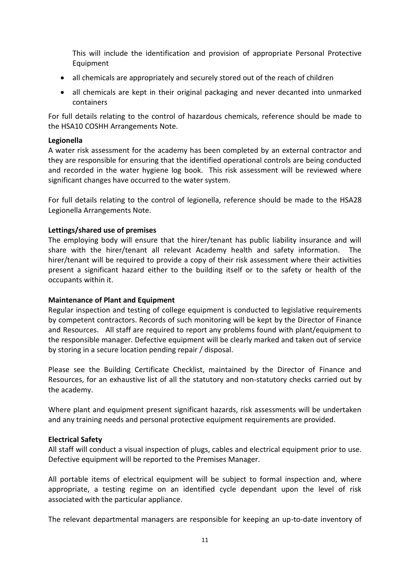This will include the identification and provision of appropriate Personal Protective Equipment

- all chemicals are appropriately and securely stored out of the reach of children
- all chemicals are kept in their original packaging and never decanted into unmarked containers

For full details relating to the control of hazardous chemicals, reference should be made to the HSA10 COSHH Arrangements Note.

#### <span id="page-11-0"></span>**Legionella**

A water risk assessment for the academy has been completed by an external contractor and they are responsible for ensuring that the identified operational controls are being conducted and recorded in the water hygiene log book. This risk assessment will be reviewed where significant changes have occurred to the water system.

For full details relating to the control of legionella, reference should be made to the HSA28 Legionella Arrangements Note.

#### <span id="page-11-1"></span>**Lettings/shared use of premises**

The employing body will ensure that the hirer/tenant has public liability insurance and will share with the hirer/tenant all relevant Academy health and safety information. The hirer/tenant will be required to provide a copy of their risk assessment where their activities present a significant hazard either to the building itself or to the safety or health of the occupants within it.

#### <span id="page-11-2"></span>**Maintenance of Plant and Equipment**

Regular inspection and testing of college equipment is conducted to legislative requirements by competent contractors. Records of such monitoring will be kept by the Director of Finance and Resources. All staff are required to report any problems found with plant/equipment to the responsible manager. Defective equipment will be clearly marked and taken out of service by storing in a secure location pending repair / disposal.

Please see the Building Certificate Checklist, maintained by the Director of Finance and Resources, for an exhaustive list of all the statutory and non-statutory checks carried out by the academy.

Where plant and equipment present significant hazards, risk assessments will be undertaken and any training needs and personal protective equipment requirements are provided.

#### <span id="page-11-3"></span>**Electrical Safety**

All staff will conduct a visual inspection of plugs, cables and electrical equipment prior to use. Defective equipment will be reported to the Premises Manager.

All portable items of electrical equipment will be subject to formal inspection and, where appropriate, a testing regime on an identified cycle dependant upon the level of risk associated with the particular appliance.

The relevant departmental managers are responsible for keeping an up-to-date inventory of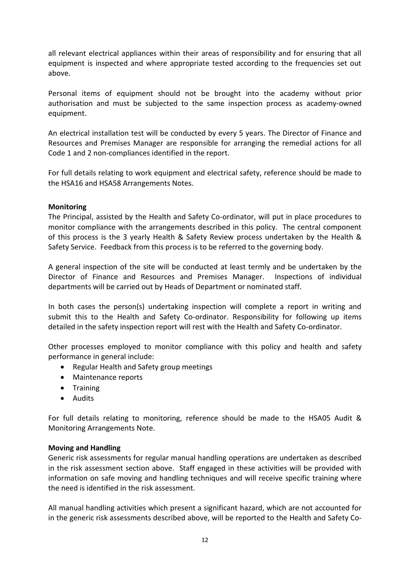all relevant electrical appliances within their areas of responsibility and for ensuring that all equipment is inspected and where appropriate tested according to the frequencies set out above.

Personal items of equipment should not be brought into the academy without prior authorisation and must be subjected to the same inspection process as academy-owned equipment.

An electrical installation test will be conducted by every 5 years. The Director of Finance and Resources and Premises Manager are responsible for arranging the remedial actions for all Code 1 and 2 non-compliances identified in the report.

For full details relating to work equipment and electrical safety, reference should be made to the HSA16 and HSA58 Arrangements Notes.

#### <span id="page-12-0"></span>**Monitoring**

The Principal, assisted by the Health and Safety Co-ordinator, will put in place procedures to monitor compliance with the arrangements described in this policy. The central component of this process is the 3 yearly Health & Safety Review process undertaken by the Health & Safety Service. Feedback from this process is to be referred to the governing body.

A general inspection of the site will be conducted at least termly and be undertaken by the Director of Finance and Resources and Premises Manager. Inspections of individual departments will be carried out by Heads of Department or nominated staff.

In both cases the person(s) undertaking inspection will complete a report in writing and submit this to the Health and Safety Co-ordinator. Responsibility for following up items detailed in the safety inspection report will rest with the Health and Safety Co-ordinator.

Other processes employed to monitor compliance with this policy and health and safety performance in general include:

- Regular Health and Safety group meetings
- Maintenance reports
- Training
- Audits

For full details relating to monitoring, reference should be made to the HSA05 Audit & Monitoring Arrangements Note.

#### <span id="page-12-1"></span>**Moving and Handling**

Generic risk assessments for regular manual handling operations are undertaken as described in the risk assessment section above. Staff engaged in these activities will be provided with information on safe moving and handling techniques and will receive specific training where the need is identified in the risk assessment.

All manual handling activities which present a significant hazard, which are not accounted for in the generic risk assessments described above, will be reported to the Health and Safety Co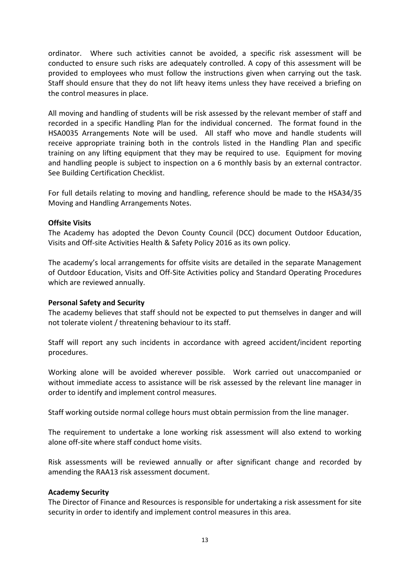ordinator. Where such activities cannot be avoided, a specific risk assessment will be conducted to ensure such risks are adequately controlled. A copy of this assessment will be provided to employees who must follow the instructions given when carrying out the task. Staff should ensure that they do not lift heavy items unless they have received a briefing on the control measures in place.

All moving and handling of students will be risk assessed by the relevant member of staff and recorded in a specific Handling Plan for the individual concerned. The format found in the HSA0035 Arrangements Note will be used. All staff who move and handle students will receive appropriate training both in the controls listed in the Handling Plan and specific training on any lifting equipment that they may be required to use. Equipment for moving and handling people is subject to inspection on a 6 monthly basis by an external contractor. See Building Certification Checklist.

For full details relating to moving and handling, reference should be made to the HSA34/35 Moving and Handling Arrangements Notes.

#### <span id="page-13-0"></span>**Offsite Visits**

The Academy has adopted the Devon County Council (DCC) document Outdoor Education, Visits and Off-site Activities Health & Safety Policy 2016 as its own policy.

The academy's local arrangements for offsite visits are detailed in the separate Management of Outdoor Education, Visits and Off-Site Activities policy and Standard Operating Procedures which are reviewed annually.

#### <span id="page-13-1"></span>**Personal Safety and Security**

The academy believes that staff should not be expected to put themselves in danger and will not tolerate violent / threatening behaviour to its staff.

Staff will report any such incidents in accordance with agreed accident/incident reporting procedures.

Working alone will be avoided wherever possible. Work carried out unaccompanied or without immediate access to assistance will be risk assessed by the relevant line manager in order to identify and implement control measures.

Staff working outside normal college hours must obtain permission from the line manager.

The requirement to undertake a lone working risk assessment will also extend to working alone off-site where staff conduct home visits.

Risk assessments will be reviewed annually or after significant change and recorded by amending the RAA13 risk assessment document.

#### **Academy Security**

The Director of Finance and Resources is responsible for undertaking a risk assessment for site security in order to identify and implement control measures in this area.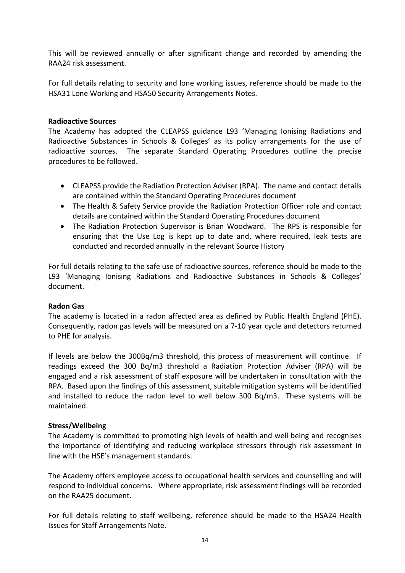This will be reviewed annually or after significant change and recorded by amending the RAA24 risk assessment.

For full details relating to security and lone working issues, reference should be made to the HSA31 Lone Working and HSA50 Security Arrangements Notes.

#### <span id="page-14-0"></span>**Radioactive Sources**

The Academy has adopted the CLEAPSS guidance L93 'Managing Ionising Radiations and Radioactive Substances in Schools & Colleges' as its policy arrangements for the use of radioactive sources. The separate Standard Operating Procedures outline the precise procedures to be followed.

- CLEAPSS provide the Radiation Protection Adviser (RPA). The name and contact details are contained within the Standard Operating Procedures document
- The Health & Safety Service provide the Radiation Protection Officer role and contact details are contained within the Standard Operating Procedures document
- The Radiation Protection Supervisor is Brian Woodward. The RPS is responsible for ensuring that the Use Log is kept up to date and, where required, leak tests are conducted and recorded annually in the relevant Source History

For full details relating to the safe use of radioactive sources, reference should be made to the L93 'Managing Ionising Radiations and Radioactive Substances in Schools & Colleges' document.

#### <span id="page-14-1"></span>**Radon Gas**

The academy is located in a radon affected area as defined by Public Health England (PHE). Consequently, radon gas levels will be measured on a 7-10 year cycle and detectors returned to PHE for analysis.

If levels are below the 300Bq/m3 threshold, this process of measurement will continue. If readings exceed the 300 Bq/m3 threshold a Radiation Protection Adviser (RPA) will be engaged and a risk assessment of staff exposure will be undertaken in consultation with the RPA. Based upon the findings of this assessment, suitable mitigation systems will be identified and installed to reduce the radon level to well below 300 Bq/m3. These systems will be maintained.

#### <span id="page-14-2"></span>**Stress/Wellbeing**

The Academy is committed to promoting high levels of health and well being and recognises the importance of identifying and reducing workplace stressors through risk assessment in line with the HSE's management standards.

The Academy offers employee access to occupational health services and counselling and will respond to individual concerns. Where appropriate, risk assessment findings will be recorded on the RAA25 document.

For full details relating to staff wellbeing, reference should be made to the HSA24 Health Issues for Staff Arrangements Note.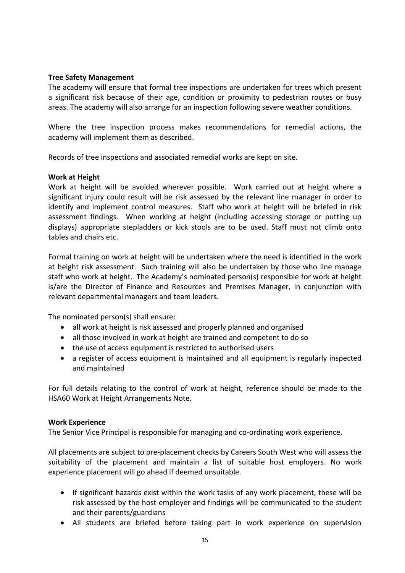#### <span id="page-15-0"></span>**Tree Safety Management**

The academy will ensure that formal tree inspections are undertaken for trees which present a significant risk because of their age, condition or proximity to pedestrian routes or busy areas. The academy will also arrange for an inspection following severe weather conditions.

Where the tree inspection process makes recommendations for remedial actions, the academy will implement them as described.

Records of tree inspections and associated remedial works are kept on site.

#### <span id="page-15-1"></span>**Work at Height**

Work at height will be avoided wherever possible. Work carried out at height where a significant injury could result will be risk assessed by the relevant line manager in order to identify and implement control measures. Staff who work at height will be briefed in risk assessment findings. When working at height (including accessing storage or putting up displays) appropriate stepladders or kick stools are to be used. Staff must not climb onto tables and chairs etc.

Formal training on work at height will be undertaken where the need is identified in the work at height risk assessment. Such training will also be undertaken by those who line manage staff who work at height. The Academy's nominated person(s) responsible for work at height is/are the Director of Finance and Resources and Premises Manager, in conjunction with relevant departmental managers and team leaders.

The nominated person(s) shall ensure:

- all work at height is risk assessed and properly planned and organised
- all those involved in work at height are trained and competent to do so
- the use of access equipment is restricted to authorised users
- a register of access equipment is maintained and all equipment is regularly inspected and maintained

For full details relating to the control of work at height, reference should be made to the HSA60 Work at Height Arrangements Note.

#### <span id="page-15-2"></span>**Work Experience**

The Senior Vice Principal is responsible for managing and co-ordinating work experience.

All placements are subject to pre-placement checks by Careers South West who will assess the suitability of the placement and maintain a list of suitable host employers. No work experience placement will go ahead if deemed unsuitable.

- If significant hazards exist within the work tasks of any work placement, these will be risk assessed by the host employer and findings will be communicated to the student and their parents/guardians
- All students are briefed before taking part in work experience on supervision